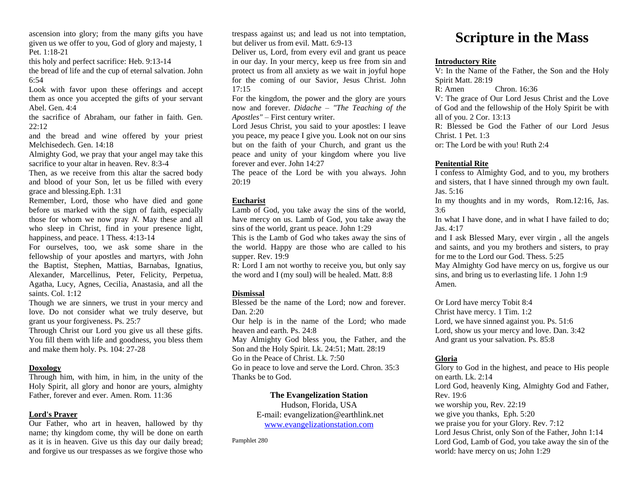ascension into glory; from the many gifts you have given us we offer to you, God of glory and majesty, 1 Pet. 1:18-21

this holy and perfect sacrifice: Heb. 9:13-14

the bread of life and the cup of eternal salvation. John 6:54

Look with favor upon these offerings and accept them as once you accepted the gifts of your servant Abel. Gen. 4:4

the sacrifice of Abraham, our father in faith. Gen.  $22 \cdot 12$ 

and the bread and wine offered by your priest Melchisedech. Gen. 14:18

Almighty God, we pray that your angel may take this sacrifice to your altar in heaven. Rev. 8:3-4

Then, as we receive from this altar the sacred body and blood of your Son, let us be filled with every grace and blessing.Eph. 1:31

Remember, Lord, those who have died and gone before us marked with the sign of faith, especially those for whom we now pray *N.* May these and all who sleep in Christ, find in your presence light, happiness, and peace. 1 Thess. 4:13-14

For ourselves, too, we ask some share in the fellowship of your apostles and martyrs, with John the Baptist, Stephen, Mattias, Barnabas, Ignatius, Alexander, Marcellinus, Peter, Felicity, Perpetua, Agatha, Lucy, Agnes, Cecilia, Anastasia, and all the saints. Col. 1:12

Though we are sinners, we trust in your mercy and love. Do not consider what we truly deserve, but grant us your forgiveness. Ps. 25:7

Through Christ our Lord you give us all these gifts. You fill them with life and goodness, you bless them and make them holy. Ps. 104: 27-28

## **Doxology**

Through him, with him, in him, in the unity of the Holy Spirit, all glory and honor are yours, almighty Father, forever and ever. Amen. Rom. 11:36

## **Lord's Prayer**

Our Father, who art in heaven, hallowed by thy name; thy kingdom come, thy will be done on earth as it is in heaven. Give us this day our daily bread; and forgive us our trespasses as we forgive those who trespass against us; and lead us not into temptation, but deliver us from evil. Matt. 6:9-13

Deliver us, Lord, from every evil and grant us peace in our day. In your mercy, keep us free from sin and protect us from all anxiety as we wait in joyful hope for the coming of our Savior, Jesus Christ. John 17:15

For the kingdom, the power and the glory are yours now and forever. *Didache* – *"The Teaching of the Apostles"* – First century writer.

Lord Jesus Christ, you said to your apostles: I leave you peace, my peace I give you. Look not on our sins but on the faith of your Church, and grant us the peace and unity of your kingdom where you live forever and ever. John 14:27

The peace of the Lord be with you always. John 20:19

## **Eucharist**

Lamb of God, you take away the sins of the world, have mercy on us. Lamb of God, you take away the sins of the world, grant us peace. John 1:29

This is the Lamb of God who takes away the sins of the world. Happy are those who are called to his supper. Rev. 19:9

R: Lord I am not worthy to receive you, but only say the word and I (my soul) will be healed. Matt. 8:8

## **Dismissal**

Blessed be the name of the Lord; now and forever. Dan. 2:20

Our help is in the name of the Lord; who made heaven and earth. Ps. 24:8

May Almighty God bless you, the Father, and the Son and the Holy Spirit. Lk. 24:51; Matt. 28:19

Go in the Peace of Christ. Lk. 7:50

Go in peace to love and serve the Lord. Chron. 35:3 Thanks be to God.

## **The Evangelization Station**

Hudson, Florida, USA E-mail: evangelization@earthlink.net [www.evangelizationstation.com](http://www.pjpiisoe.org/)

Pamphlet 280

# **Scripture in the Mass**

## **Introductory Rite**

V: In the Name of the Father, the Son and the Holy Spirit Matt. 28:19

R: Amen Chron. 16:36

V: The grace of Our Lord Jesus Christ and the Love of God and the fellowship of the Holy Spirit be with all of you. 2 Cor. 13:13

R: Blessed be God the Father of our Lord Jesus Christ. 1 Pet. 1:3

or: The Lord be with you! Ruth 2:4

## **Penitential Rite**

I confess to Almighty God, and to you, my brothers and sisters, that I have sinned through my own fault. Jas. 5:16

In my thoughts and in my words, Rom.12:16, Jas. 3:6

In what I have done, and in what I have failed to do; Jas. 4:17

and I ask Blessed Mary, ever virgin , all the angels and saints, and you my brothers and sisters, to pray for me to the Lord our God. Thess. 5:25

May Almighty God have mercy on us, forgive us our sins, and bring us to everlasting life. 1 John 1:9 Amen.

Or Lord have mercy Tobit 8:4 Christ have mercy. 1 Tim. 1:2 Lord, we have sinned against you. Ps. 51:6 Lord, show us your mercy and love. Dan. 3:42 And grant us your salvation. Ps. 85:8

## **Gloria**

Glory to God in the highest, and peace to His people on earth. Lk. 2:14 Lord God, heavenly King, Almighty God and Father, Rev. 19:6 we worship you, Rev. 22:19 we give you thanks, Eph. 5:20 we praise you for your Glory. Rev. 7:12 Lord Jesus Christ, only Son of the Father, John 1:14 Lord God, Lamb of God, you take away the sin of the world: have mercy on us; John 1:29